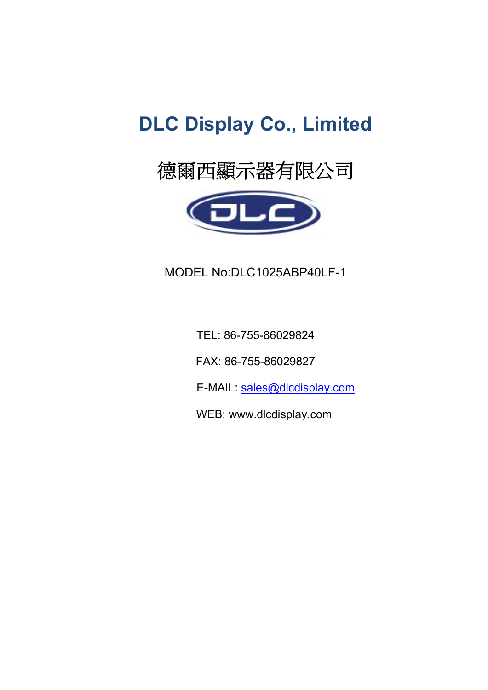# **DLC Display Co., Limited**



MODEL No:DLC1025ABP40LF-1

TEL: 86-755-86029824

FAX: 86-755-86029827

E-MAIL: sales@dlcdisplay.com

WEB: www.dlcdisplay.com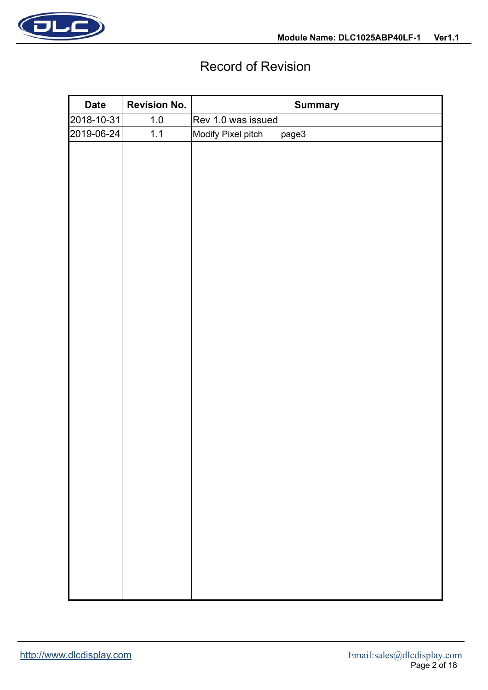

## Record of Revision

| <b>Date</b> | <b>Revision No.</b> | <b>Summary</b>              |
|-------------|---------------------|-----------------------------|
| 2018-10-31  | $1.0\,$             | Rev 1.0 was issued          |
| 2019-06-24  | 1.1                 | Modify Pixel pitch<br>page3 |
|             |                     |                             |
|             |                     |                             |
|             |                     |                             |
|             |                     |                             |
|             |                     |                             |
|             |                     |                             |
|             |                     |                             |
|             |                     |                             |
|             |                     |                             |
|             |                     |                             |
|             |                     |                             |
|             |                     |                             |
|             |                     |                             |
|             |                     |                             |
|             |                     |                             |
|             |                     |                             |
|             |                     |                             |
|             |                     |                             |
|             |                     |                             |
|             |                     |                             |
|             |                     |                             |
|             |                     |                             |
|             |                     |                             |
|             |                     |                             |
|             |                     |                             |
|             |                     |                             |
|             |                     |                             |
|             |                     |                             |
|             |                     |                             |
|             |                     |                             |
|             |                     |                             |
|             |                     |                             |
|             |                     |                             |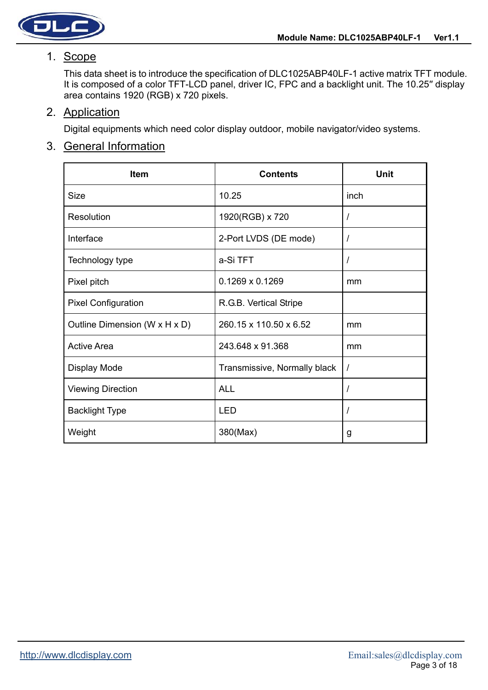



#### 1. Scope

This data sheet is to introduce the specification of DLC1025ABP40LF-1 active matrix TFT module. It is composed of a color TFT-LCD panel, driver IC, FPC and a backlight unit. The 10.25" display area contains 1920 (RGB) x 720 pixels.

### 2. Application

Digital equipments which need color display outdoor, mobile navigator/video systems.

## 3. General Information

| <b>Item</b>                   | <b>Contents</b>              | <b>Unit</b> |
|-------------------------------|------------------------------|-------------|
| <b>Size</b>                   | 10.25                        | inch        |
| Resolution                    | 1920(RGB) x 720              | $\prime$    |
| Interface                     | 2-Port LVDS (DE mode)        | $\prime$    |
| Technology type               | a-Si TFT                     | $\prime$    |
| Pixel pitch                   | $0.1269 \times 0.1269$       | mm          |
| <b>Pixel Configuration</b>    | R.G.B. Vertical Stripe       |             |
| Outline Dimension (W x H x D) | 260.15 x 110.50 x 6.52       | mm          |
| <b>Active Area</b>            | 243.648 x 91.368             | mm          |
| Display Mode                  | Transmissive, Normally black | $\prime$    |
| <b>Viewing Direction</b>      | <b>ALL</b>                   | $\prime$    |
| <b>Backlight Type</b>         | <b>LED</b>                   | $\prime$    |
| Weight                        | 380(Max)                     | g           |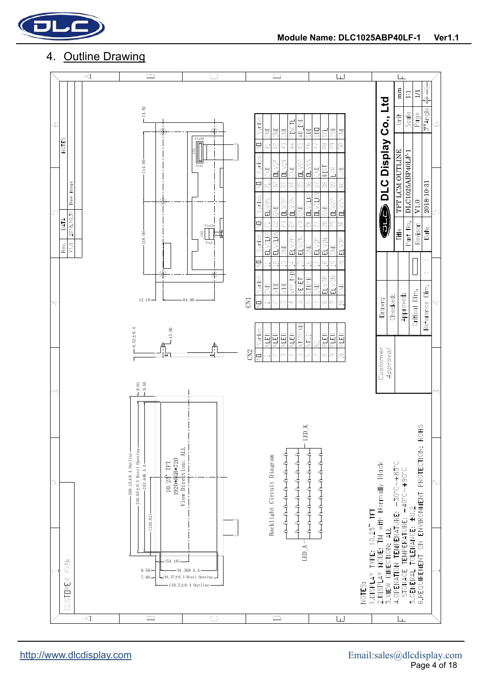

#### 4. Outline Drawing

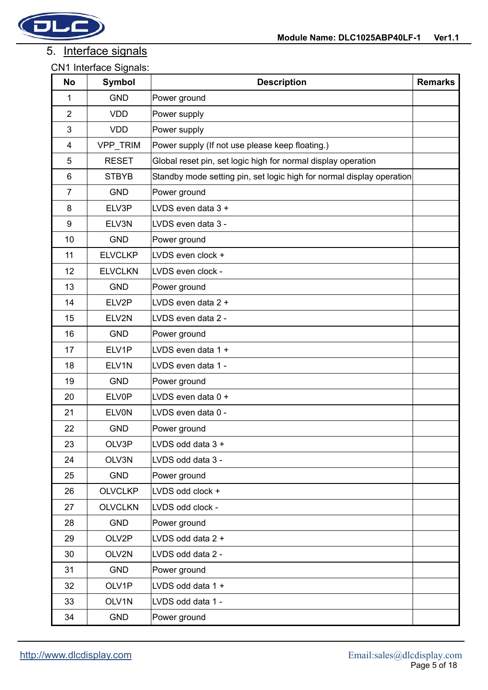

## 5. Interface signals

| <b>No</b>        | <b>Symbol</b>  | <b>Description</b>                                                    | <b>Remarks</b> |
|------------------|----------------|-----------------------------------------------------------------------|----------------|
| 1                | <b>GND</b>     | Power ground                                                          |                |
| $\overline{2}$   | <b>VDD</b>     | Power supply                                                          |                |
| 3                | <b>VDD</b>     | Power supply                                                          |                |
| $\overline{4}$   | VPP_TRIM       | Power supply (If not use please keep floating.)                       |                |
| 5                | <b>RESET</b>   | Global reset pin, set logic high for normal display operation         |                |
| $\,6$            | <b>STBYB</b>   | Standby mode setting pin, set logic high for normal display operation |                |
| $\overline{7}$   | <b>GND</b>     | Power ground                                                          |                |
| 8                | ELV3P          | LVDS even data 3 +                                                    |                |
| $\boldsymbol{9}$ | ELV3N          | LVDS even data 3 -                                                    |                |
| 10               | <b>GND</b>     | Power ground                                                          |                |
| 11               | <b>ELVCLKP</b> | LVDS even clock +                                                     |                |
| 12               | <b>ELVCLKN</b> | LVDS even clock -                                                     |                |
| 13               | <b>GND</b>     | Power ground                                                          |                |
| 14               | ELV2P          | LVDS even data 2 +                                                    |                |
| 15               | ELV2N          | LVDS even data 2 -                                                    |                |
| 16               | <b>GND</b>     | Power ground                                                          |                |
| 17               | ELV1P          | LVDS even data 1 +                                                    |                |
| 18               | ELV1N          | LVDS even data 1 -                                                    |                |
| 19               | <b>GND</b>     | Power ground                                                          |                |
| 20               | <b>ELV0P</b>   | LVDS even data 0 +                                                    |                |
| 21               | <b>ELVON</b>   | LVDS even data 0 -                                                    |                |
| 22               | <b>GND</b>     | Power ground                                                          |                |
| 23               | OLV3P          | LVDS odd data 3 +                                                     |                |
| 24               | OLV3N          | LVDS odd data 3 -                                                     |                |
| 25               | <b>GND</b>     | Power ground                                                          |                |
| 26               | <b>OLVCLKP</b> | LVDS odd clock +                                                      |                |
| 27               | <b>OLVCLKN</b> | LVDS odd clock -                                                      |                |
| 28               | <b>GND</b>     | Power ground                                                          |                |
| 29               | OLV2P          | LVDS odd data 2 +                                                     |                |
| 30               | OLV2N          | LVDS odd data 2 -                                                     |                |
| 31               | <b>GND</b>     | Power ground                                                          |                |
| 32               | OLV1P          | LVDS odd data 1 +                                                     |                |
| 33               | OLV1N          | LVDS odd data 1 -                                                     |                |
| 34               | <b>GND</b>     | Power ground                                                          |                |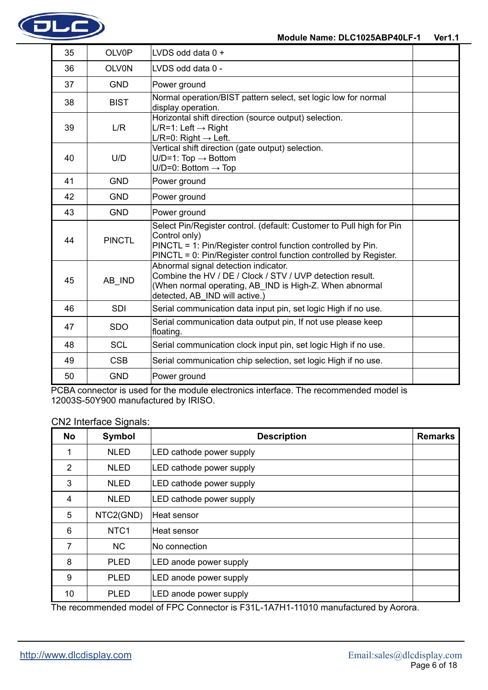

| 35 | OLV0P         | LVDS odd data 0 +                                                                                                                                                                                                          |  |
|----|---------------|----------------------------------------------------------------------------------------------------------------------------------------------------------------------------------------------------------------------------|--|
| 36 | <b>OLV0N</b>  | LVDS odd data 0 -                                                                                                                                                                                                          |  |
| 37 | <b>GND</b>    | Power ground                                                                                                                                                                                                               |  |
| 38 | <b>BIST</b>   | Normal operation/BIST pattern select, set logic low for normal<br>display operation.                                                                                                                                       |  |
| 39 | L/R           | Horizontal shift direction (source output) selection.<br>$L/R = 1$ : Left $\rightarrow$ Right<br>L/R=0: Right $\rightarrow$ Left.                                                                                          |  |
| 40 | U/D           | Vertical shift direction (gate output) selection.<br>$U/D=1$ : Top $\rightarrow$ Bottom<br>U/D=0: Bottom $\rightarrow$ Top                                                                                                 |  |
| 41 | <b>GND</b>    | Power ground                                                                                                                                                                                                               |  |
| 42 | <b>GND</b>    | Power ground                                                                                                                                                                                                               |  |
| 43 | <b>GND</b>    | Power ground                                                                                                                                                                                                               |  |
| 44 | <b>PINCTL</b> | Select Pin/Register control. (default: Customer to Pull high for Pin<br>Control only)<br>PINCTL = 1: Pin/Register control function controlled by Pin.<br>PINCTL = 0: Pin/Register control function controlled by Register. |  |
| 45 | AB IND        | Abnormal signal detection indicator.<br>Combine the HV / DE / Clock / STV / UVP detection result.<br>(When normal operating, AB IND is High-Z. When abnormal<br>detected, AB IND will active.)                             |  |
| 46 | <b>SDI</b>    | Serial communication data input pin, set logic High if no use.                                                                                                                                                             |  |
| 47 | <b>SDO</b>    | Serial communication data output pin, If not use please keep<br>floating.                                                                                                                                                  |  |
| 48 | <b>SCL</b>    | Serial communication clock input pin, set logic High if no use.                                                                                                                                                            |  |
| 49 | <b>CSB</b>    | Serial communication chip selection, set logic High if no use.                                                                                                                                                             |  |
| 50 | <b>GND</b>    | Power ground                                                                                                                                                                                                               |  |

PCBA connector is used for the module electronics interface. The recommended model is 12003S-50Y900 manufactured by IRISO.

CN2 Interface Signals:

| <b>No</b>      | <b>Symbol</b>    | <b>Description</b>       | <b>Remarks</b> |
|----------------|------------------|--------------------------|----------------|
|                | <b>NLED</b>      | LED cathode power supply |                |
| 2              | <b>NLED</b>      | LED cathode power supply |                |
| 3              | <b>NLED</b>      | LED cathode power supply |                |
| $\overline{4}$ | <b>NLED</b>      | LED cathode power supply |                |
| 5              | NTC2(GND)        | Heat sensor              |                |
| 6              | NTC <sub>1</sub> | Heat sensor              |                |
| 7              | <b>NC</b>        | No connection            |                |
| 8              | <b>PLED</b>      | LED anode power supply   |                |
| 9              | <b>PLED</b>      | LED anode power supply   |                |
| 10<br>— L      | <b>PLED</b>      | LED anode power supply   |                |

The recommended model of FPC Connector is F31L-1A7H1-11010 manufactured by Aorora.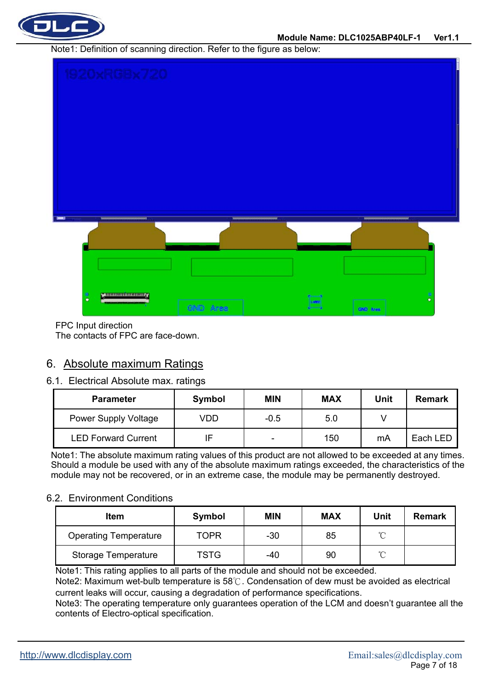

Note1: Definition of scanning direction. Refer to the figure as below:



FPC Input direction

The contacts of FPC are face-down.

#### 6. Absolute maximum Ratings

#### 6.1. Electrical Absolute max. ratings

| <b>Parameter</b>           | Symbol | <b>MIN</b>               | <b>MAX</b> | <b>Unit</b> | Remark   |
|----------------------------|--------|--------------------------|------------|-------------|----------|
| Power Supply Voltage       | √DD    | $-0.5$                   | 5.0        |             |          |
| <b>LED Forward Current</b> |        | $\overline{\phantom{0}}$ | 150        | mA          | Each LED |

Note1: The absolute maximum rating values of this product are not allowed to be exceeded at any times. Should a module be used with any of the absolute maximum ratings exceeded, the characteristics of the module may not be recovered, or in an extreme case, the module may be permanently destroyed.

#### 6.2. Environment Conditions

| <b>Item</b>                  | Symbol      | <b>MIN</b> | <b>MAX</b> | Unit     | <b>Remark</b> |
|------------------------------|-------------|------------|------------|----------|---------------|
| <b>Operating Temperature</b> | <b>TOPR</b> | -30        | 85         | $\sim$   |               |
| Storage Temperature          | <b>TSTG</b> | -40        | 90         | $\gamma$ |               |

Note1: This rating applies to all parts of the module and should not be exceeded.

Note2: Maximum wet-bulb temperature is 58℃. Condensation of dew must be avoided as electrical current leaks will occur, causing a degradation of performance specifications.

Note3: The operating temperature only guarantees operation of the LCM and doesn't guarantee all the contents of Electro-optical specification.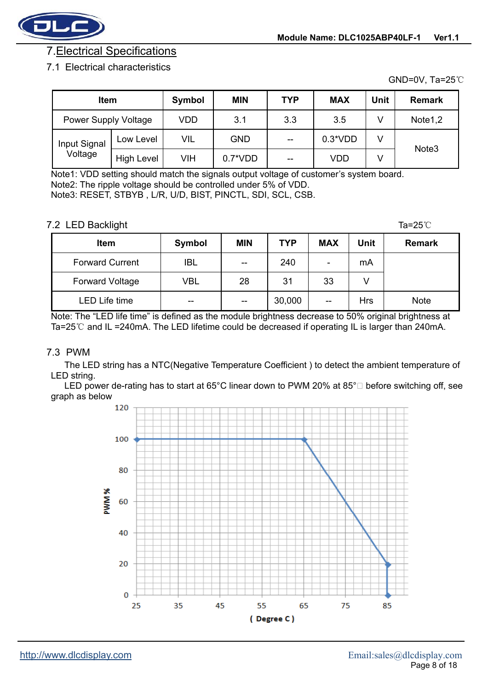

## 7.Electrical Specifications

#### 7.1 Electrical characteristics

GND=0V, Ta=25℃

| <b>Item</b>                 |                   | Symbol | <b>MIN</b> | <b>TYP</b> | <b>MAX</b> | Unit | <b>Remark</b>     |
|-----------------------------|-------------------|--------|------------|------------|------------|------|-------------------|
| <b>Power Supply Voltage</b> |                   | VDD    | 3.1        | 3.3        | 3.5        |      | Note1,2           |
| Input Signal                | Low Level         | VIL    | <b>GND</b> | $-$        | $0.3*VDD$  | V    |                   |
| Voltage                     | <b>High Level</b> | VIH    | $0.7^*VDD$ | --         | VDD        | V    | Note <sub>3</sub> |

Note1: VDD setting should match the signals output voltage of customer's system board. Note2: The ripple voltage should be controlled under 5% of VDD. Note3: RESET, STBYB , L/R, U/D, BIST, PINCTL, SDI, SCL, CSB.

7.2 LED Backlight Ta=25℃

|                        |            |            |            |                          |             | .             |
|------------------------|------------|------------|------------|--------------------------|-------------|---------------|
| <b>Item</b>            | Symbol     | <b>MIN</b> | <b>TYP</b> | <b>MAX</b>               | <b>Unit</b> | <b>Remark</b> |
| <b>Forward Current</b> | <b>IBL</b> | --         | 240        | $\overline{\phantom{a}}$ | mA          |               |
| <b>Forward Voltage</b> | VBL        | 28         | 31         | 33                       | V           |               |
| LED Life time          | $- -$      | --         | 30,000     | $- -$                    | <b>Hrs</b>  | <b>Note</b>   |

Note: The "LED life time" is defined as the module brightness decrease to 50% original brightness at Ta=25 $\degree$ C and IL =240mA. The LED lifetime could be decreased if operating IL is larger than 240mA.

#### 7.3 PWM

The LED string has a NTC(Negative Temperature Coefficient ) to detect the ambient temperature of LED string.

LED power de-rating has to start at 65°C linear down to PWM 20% at 85° $\Box$  before switching off, see graph as below

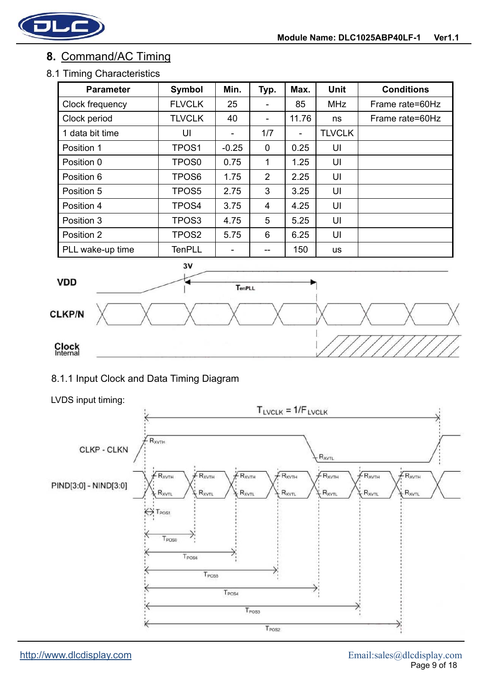

## **8.** Command/AC Timing

#### 8.1 Timing Characteristics

| <b>Parameter</b> | Symbol            | Min.                     | Typ.           | Max.  | <b>Unit</b>   | <b>Conditions</b> |
|------------------|-------------------|--------------------------|----------------|-------|---------------|-------------------|
| Clock frequency  | <b>FLVCLK</b>     | 25                       |                | 85    | <b>MHz</b>    | Frame rate=60Hz   |
| Clock period     | <b>TLVCLK</b>     | 40                       | -              | 11.76 | ns            | Frame rate=60Hz   |
| 1 data bit time  | UI                | $\overline{\phantom{0}}$ | 1/7            |       | <b>TLVCLK</b> |                   |
| Position 1       | TPOS <sub>1</sub> | $-0.25$                  | 0              | 0.25  | UI            |                   |
| Position 0       | TPOS <sub>0</sub> | 0.75                     | 1              | 1.25  | UI            |                   |
| Position 6       | TPOS6             | 1.75                     | $\overline{2}$ | 2.25  | UI            |                   |
| Position 5       | TPOS5             | 2.75                     | 3              | 3.25  | UI            |                   |
| Position 4       | TPOS4             | 3.75                     | 4              | 4.25  | UI            |                   |
| Position 3       | TPOS3             | 4.75                     | 5              | 5.25  | UI            |                   |
| Position 2       | TPOS <sub>2</sub> | 5.75                     | 6              | 6.25  | UI            |                   |
| PLL wake-up time | <b>TenPLL</b>     |                          | --             | 150   | <b>us</b>     |                   |



#### 8.1.1 Input Clock and Data Timing Diagram

#### LVDS input timing:

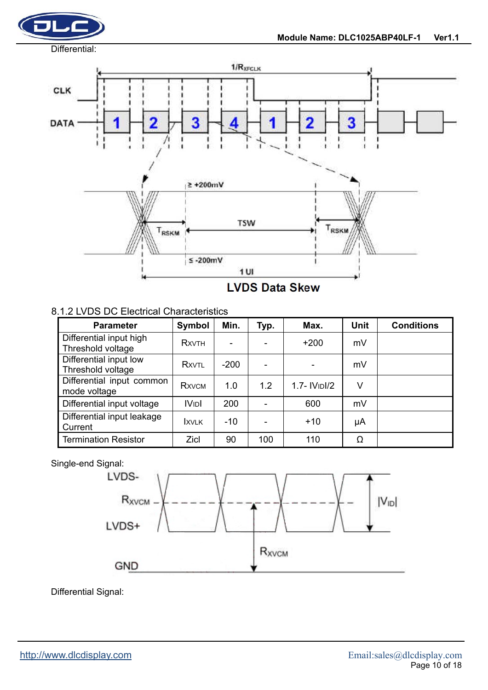



#### 8.1.2 LVDS DC Electrical Characteristics

| <b>Parameter</b>                             | Symbol           | Min.   | Typ. | Max.                      | <b>Unit</b> | <b>Conditions</b> |
|----------------------------------------------|------------------|--------|------|---------------------------|-------------|-------------------|
| Differential input high<br>Threshold voltage | <b>RXVTH</b>     |        |      | $+200$                    | mV          |                   |
| Differential input low<br>Threshold voltage  | RXVTL            | $-200$ |      |                           | mV          |                   |
| Differential input common<br>mode voltage    | <b>RXVCM</b>     | 1.0    | 1.2  | 1.7- IV <sub>ID</sub> I/2 | V           |                   |
| Differential input voltage                   | IV <sub>ID</sub> | 200    |      | 600                       | mV          |                   |
| Differential input leakage<br>Current        | <b>IXVLK</b>     | -10    |      | $+10$                     | μA          |                   |
| <b>Termination Resistor</b>                  | Zicl             | 90     | 100  | 110                       | Ω           |                   |

#### Single-end Signal:



Differential Signal: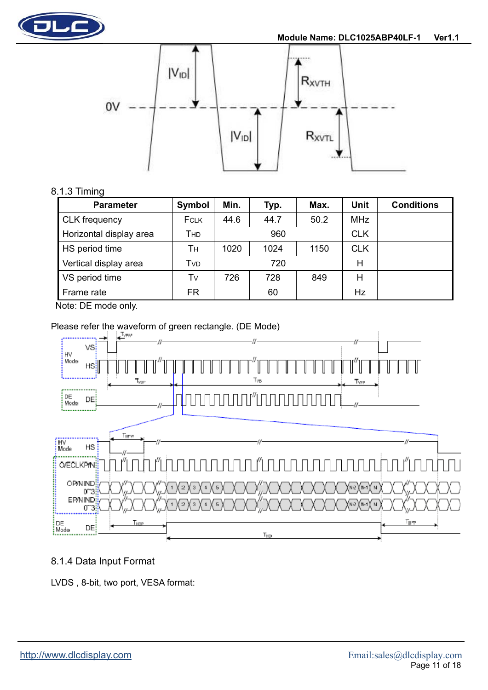



#### 8.1.3 Timing

| <b>Parameter</b>        | Symbol      | Min. | Typ. | Max. | Unit       | <b>Conditions</b> |
|-------------------------|-------------|------|------|------|------------|-------------------|
| <b>CLK</b> frequency    | <b>FCLK</b> | 44.6 | 44.7 | 50.2 | <b>MHz</b> |                   |
| Horizontal display area | Тнр         |      | 960  |      | <b>CLK</b> |                   |
| HS period time          | Τн          | 1020 | 1024 | 1150 | <b>CLK</b> |                   |
| Vertical display area   | Tvd         |      | 720  |      | Н          |                   |
| VS period time          | Tv          | 726  | 728  | 849  | Н          |                   |
| Frame rate              | FR          |      | 60   |      | Hz         |                   |

Note: DE mode only.

## Please refer the waveform of green rectangle. (DE Mode)



#### 8.1.4 Data Input Format

LVDS , 8-bit, two port, VESA format: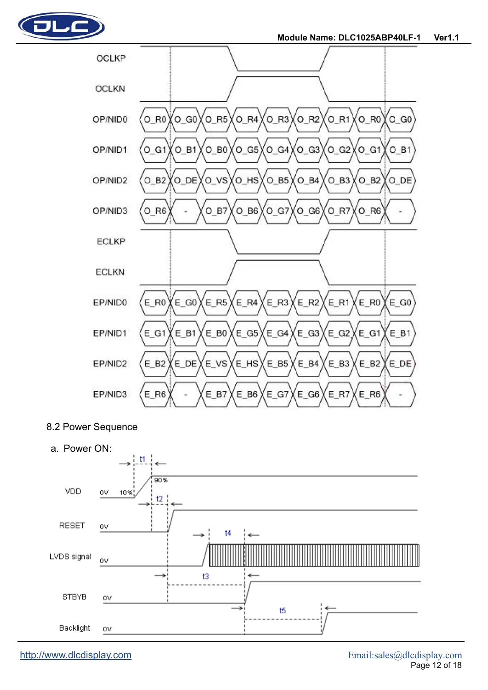



8.2 Power Sequence

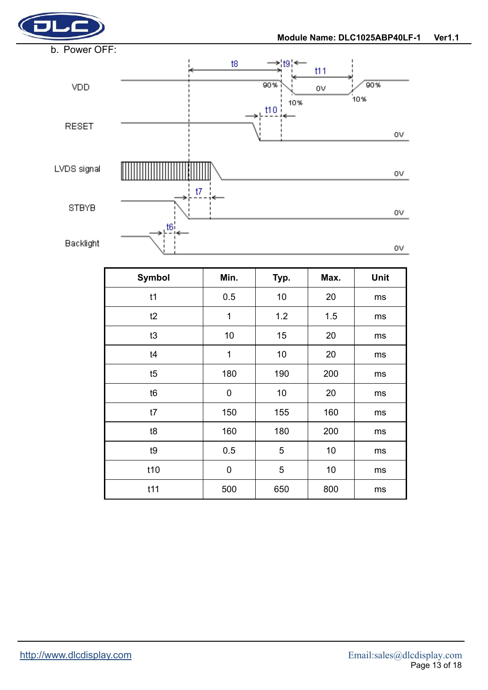



| <b>Symbol</b>  | Min. | Typ. | Max. | Unit |
|----------------|------|------|------|------|
| t1             | 0.5  | 10   | 20   | ms   |
| t2             | 1    | 1.2  | 1.5  | ms   |
| t3             | 10   | 15   | 20   | ms   |
| t4             | 1    | 10   | 20   | ms   |
| t5             | 180  | 190  | 200  | ms   |
| t <sub>6</sub> | 0    | 10   | 20   | ms   |
| t7             | 150  | 155  | 160  | ms   |
| t8             | 160  | 180  | 200  | ms   |
| t9             | 0.5  | 5    | 10   | ms   |
| t10            | 0    | 5    | 10   | ms   |
| t11            | 500  | 650  | 800  | ms   |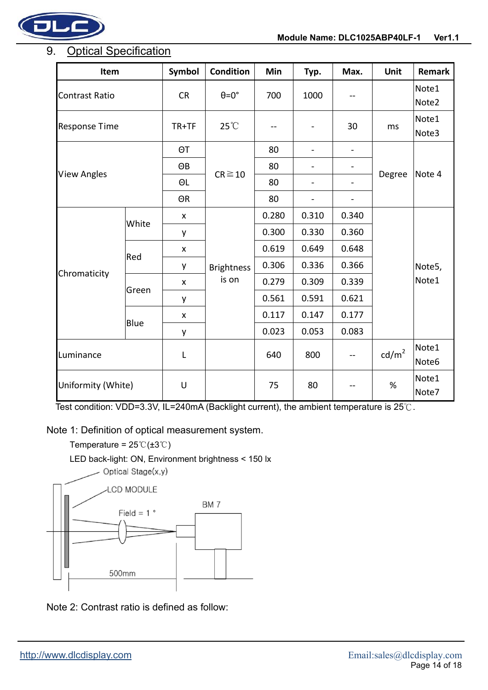

## 9. Optical Specification

| Item                  |       | Symbol             | <b>Condition</b>           | Min   | Typ.                         | Max.                     | Unit            | <b>Remark</b>   |
|-----------------------|-------|--------------------|----------------------------|-------|------------------------------|--------------------------|-----------------|-----------------|
| <b>Contrast Ratio</b> |       | <b>CR</b>          | $\theta = 0^\circ$         | 700   | 1000                         | --                       |                 | Note1<br>Note2  |
| <b>Response Time</b>  |       | TR+TF              | $25^{\circ}$ C             |       |                              | 30                       | ms              | Note1<br>Note3  |
| <b>View Angles</b>    |       | ΘT                 | $CR \ge 10$                | 80    | $\frac{1}{2}$                | $\overline{\phantom{0}}$ | Degree          | Note 4          |
|                       |       | ΘB                 |                            | 80    |                              | $\overline{a}$           |                 |                 |
|                       |       | ΘL                 |                            | 80    | $\qquad \qquad \blacksquare$ | -                        |                 |                 |
|                       |       | ΘR                 |                            | 80    | $\overline{a}$               | -                        |                 |                 |
| Chromaticity          | White | X                  | <b>Brightness</b><br>is on | 0.280 | 0.310                        | 0.340                    |                 | Note5,<br>Note1 |
|                       |       | у                  |                            | 0.300 | 0.330                        | 0.360                    |                 |                 |
|                       | Red   | X                  |                            | 0.619 | 0.649                        | 0.648                    |                 |                 |
|                       |       | y                  |                            | 0.306 | 0.336                        | 0.366                    |                 |                 |
|                       | Green | $\pmb{\mathsf{x}}$ |                            | 0.279 | 0.309                        | 0.339                    |                 |                 |
|                       |       | y                  |                            | 0.561 | 0.591                        | 0.621                    |                 |                 |
|                       | Blue  | X                  |                            | 0.117 | 0.147                        | 0.177                    |                 |                 |
|                       |       | у                  |                            | 0.023 | 0.053                        | 0.083                    |                 |                 |
| Luminance             |       | L                  |                            | 640   | 800                          |                          | $\text{cd/m}^2$ | Note1<br>Note6  |
| Uniformity (White)    |       | U                  |                            | 75    | 80                           |                          | $\%$            | Note1<br>Note7  |

Test condition: VDD=3.3V, IL=240mA (Backlight current), the ambient temperature is 25℃.

Note 1: Definition of optical measurement system.

Temperature =  $25 \textdegree \textdegree \textdegree \textdegree$ LED back-light: ON, Environment brightness < 150 lx - Optical Stage(x,y) **LCD MODULE** BM7 Field =  $1^{\circ}$ 500mm

Note 2: Contrast ratio is defined as follow: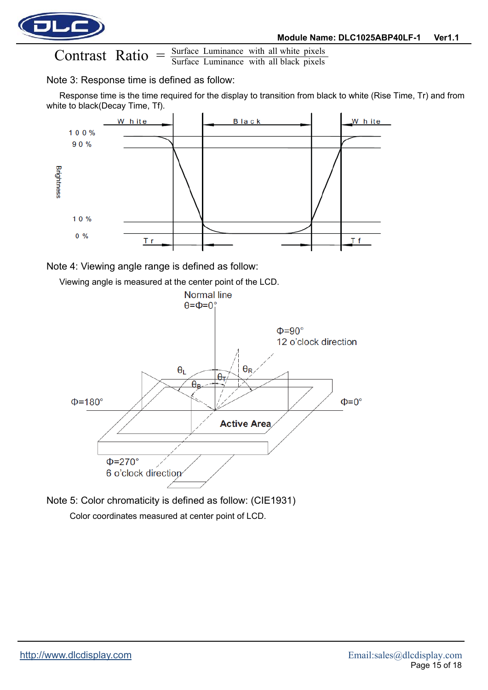

Surface Luminance with all black pixels Contrast Ratio  $=$   $\frac{\text{Surface Luminance with all white pixels}}{\text{Surface Luminance with all black pixels}}$ 

#### Note 3: Response time is defined as follow:

Response time is the time required for the display to transition from black to white (Rise Time, Tr) and from white to black(Decay Time, Tf).



Note 4: Viewing angle range is defined as follow:

Viewing angle is measured at the center point of the LCD. Normal line  $\theta = \Phi = 0^{\circ}$  $\Phi = 90^\circ$ 12 o'clock direction  $\theta_L$  $\theta_{\mathsf{R}}$ θτ  $\theta_{\rm R}$  $\Phi = 180^\circ$  $\Phi = 0^{\circ}$ **Active Area**  $\Phi = 270^\circ$ 6 o'clock direction

Note 5: Color chromaticity is defined as follow: (CIE1931) Color coordinates measured at center point of LCD.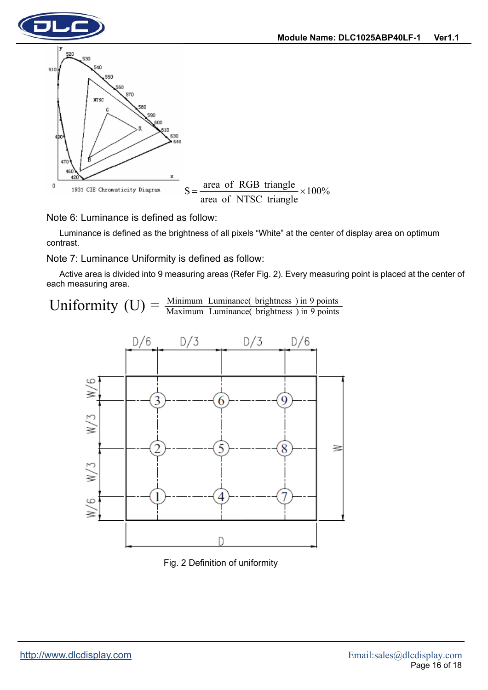

Note 6: Luminance is defined as follow:

Luminance is defined as the brightness of all pixels "White" at the center of display area on optimum contrast.

Note 7: Luminance Uniformity is defined as follow:

Active area is divided into 9 measuring areas (Refer Fig. 2). Every measuring point is placed at the center of each measuring area.

Uniformity  $(U) = \frac{\text{Minimum} \text{ Luminance}( \text{ brightness}) \text{ in 9 points}}{\text{Maximum} \text{ Luminance}( \text{ brightness}) \text{ in 9 points}}$ 



Fig. 2 Definition of uniformity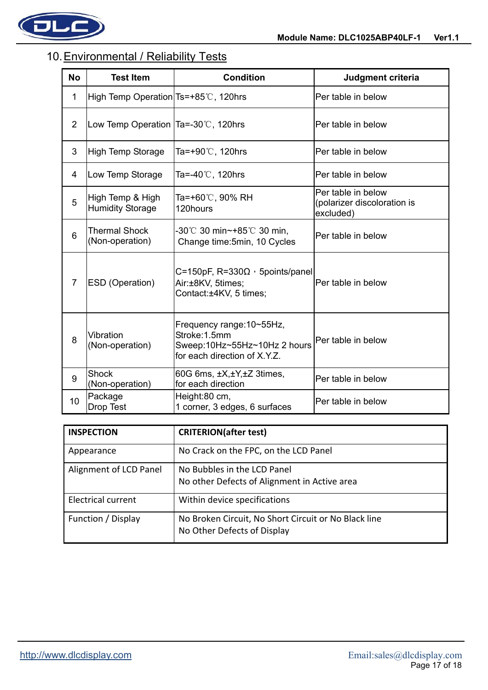

## 10. Environmental / Reliability Tests

| <b>No</b>      | <b>Test Item</b>                                | <b>Condition</b>                                                                                           | Judgment criteria                                              |
|----------------|-------------------------------------------------|------------------------------------------------------------------------------------------------------------|----------------------------------------------------------------|
| 1              | High Temp Operation Ts=+85°C, 120hrs            |                                                                                                            | Per table in below                                             |
| $\overline{2}$ | Low Temp Operation $Ta = -30^{\circ}$ C, 120hrs |                                                                                                            | Per table in below                                             |
| 3              | High Temp Storage                               | Ta=+90 $\degree$ C, 120hrs                                                                                 | Per table in below                                             |
| 4              | Low Temp Storage                                | Ta=-40 $\degree$ C, 120hrs                                                                                 | Per table in below                                             |
| 5              | High Temp & High<br><b>Humidity Storage</b>     | Ta=+60℃, 90% RH<br>120hours                                                                                | Per table in below<br>(polarizer discoloration is<br>excluded) |
| 6              | <b>Thermal Shock</b><br>(Non-operation)         | -30℃ 30 min~+85℃ 30 min,<br>Change time: 5min, 10 Cycles                                                   | Per table in below                                             |
| 7              | <b>ESD</b> (Operation)                          | C=150pF, R=330 $\Omega$ , 5points/panel<br>Air:±8KV, 5times;<br>Contact:±4KV, 5 times;                     | Per table in below                                             |
| 8              | Vibration<br>(Non-operation)                    | Frequency range: 10~55Hz,<br>Stroke: 1.5mm<br>Sweep:10Hz~55Hz~10Hz 2 hours<br>for each direction of X.Y.Z. | Per table in below                                             |
| 9              | <b>Shock</b><br>(Non-operation)                 | 60G 6ms, ±X,±Y,±Z 3times,<br>for each direction                                                            | Per table in below                                             |
| 10             | Package<br>Drop Test                            | Height:80 cm,<br>1 corner, 3 edges, 6 surfaces                                                             | Per table in below                                             |

| <b>INSPECTION</b>         | <b>CRITERION(after test)</b>                                                        |
|---------------------------|-------------------------------------------------------------------------------------|
| Appearance                | No Crack on the FPC, on the LCD Panel                                               |
| Alignment of LCD Panel    | No Bubbles in the LCD Panel<br>No other Defects of Alignment in Active area         |
| <b>Electrical current</b> | Within device specifications                                                        |
| Function / Display        | No Broken Circuit, No Short Circuit or No Black line<br>No Other Defects of Display |